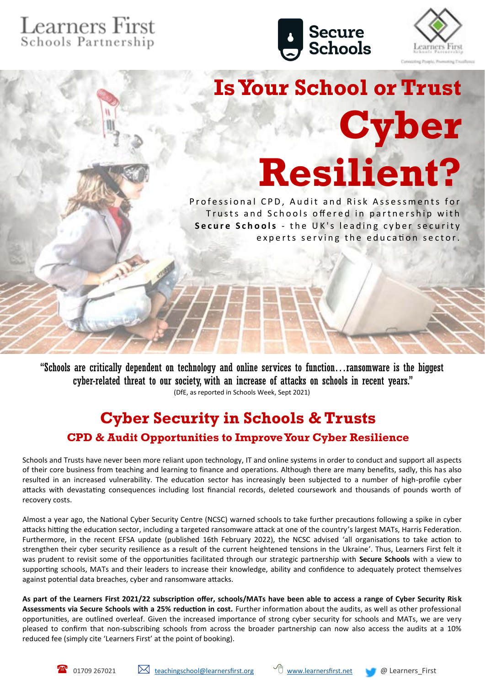## Learners First<br>Schools Partnership





**Is Your School or Trust Cyber Resilient?** 

Professional CPD, Audit and Risk Assessments for Trusts and Schools offered in partnership with **Secure Schools** - the UK's leading cyber security experts serving the education sector.

"Schools are critically dependent on technology and online services to function…ransomware is the biggest cyber-related threat to our society, with an increase of attacks on schools in recent years." (DfE, as reported in Schools Week, Sept 2021)

### **Cyber Security in Schools & Trusts**

#### **CPD & Audit Opportunities to Improve Your Cyber Resilience**

Schools and Trusts have never been more reliant upon technology, IT and online systems in order to conduct and support all aspects of their core business from teaching and learning to finance and operations. Although there are many benefits, sadly, this has also resulted in an increased vulnerability. The education sector has increasingly been subjected to a number of high-profile cyber attacks with devastating consequences including lost financial records, deleted coursework and thousands of pounds worth of recovery costs.

Almost a year ago, the National Cyber Security Centre (NCSC) warned schools to take further precautions following a spike in cyber attacks hitting the education sector, including a targeted ransomware attack at one of the country's largest MATs, Harris Federation. Furthermore, in the recent EFSA update (published 16th February 2022), the NCSC advised 'all organisations to take action to strengthen their cyber security resilience as a result of the current heightened tensions in the Ukraine'. Thus, Learners First felt it was prudent to revisit some of the opportunities facilitated through our strategic partnership with **Secure Schools** with a view to supporting schools, MATs and their leaders to increase their knowledge, ability and confidence to adequately protect themselves against potential data breaches, cyber and ransomware attacks.

**As part of the Learners First 2021/22 subscription offer, schools/MATs have been able to access a range of Cyber Security Risk Assessments via Secure Schools with a 25% reduction in cost.** Further information about the audits, as well as other professional opportunities, are outlined overleaf. Given the increased importance of strong cyber security for schools and MATs, we are very pleased to confirm that non-subscribing schools from across the broader partnership can now also access the audits at a 10% reduced fee (simply cite 'Learners First' at the point of booking).